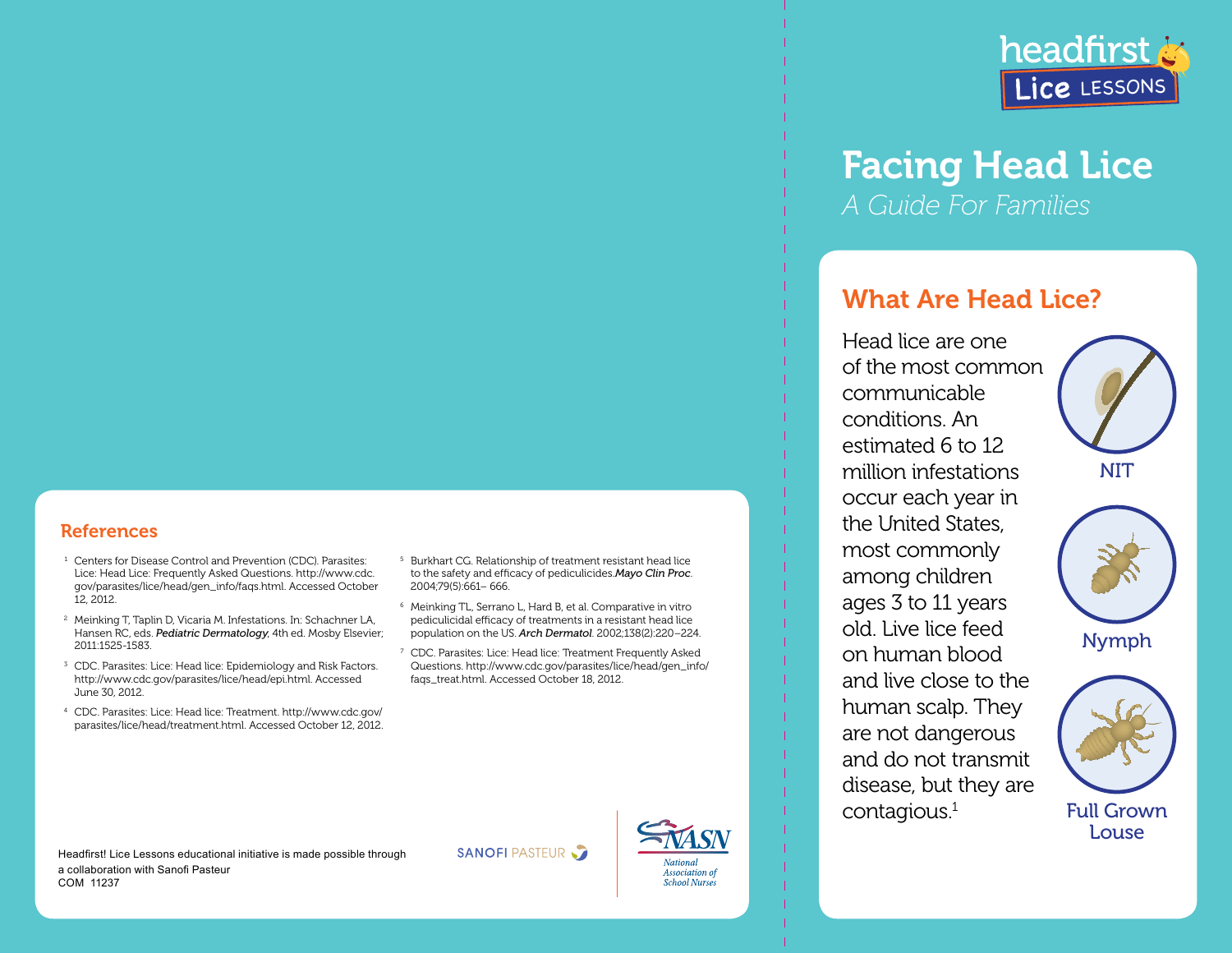

# Facing Head Lice *A Guide For Families*

# What Are Head Lice?

Head lice are one of the most common communicable conditions. An estimated 6 to 12 million infestations occur each year in the United States, most commonly among children ages 3 to 11 years old. Live lice feed on human blood and live close to the human scalp. They are not dangerous and do not transmit disease, but they are contagious.1





Nymph



## to the safety and efficacy of pediculicides.*Mayo Clin Proc*. <sup>6</sup> Meinking TL, Serrano L, Hard B, et al. Comparative in vitro pediculicidal efficacy of treatments in a resistant head lice population on the US. *Arch Dermatol*. 2002;138(2):220–224.

<sup>7</sup> CDC. Parasites: Lice: Head lice: Treatment Frequently Asked Questions. http://www.cdc.gov/parasites/lice/head/gen\_info/ faqs\_treat.html. Accessed October 18, 2012.

<sup>5</sup> Burkhart CG. Relationship of treatment resistant head lice

2004;79(5):661– 666.

## **References**

- <sup>1</sup> Centers for Disease Control and Prevention (CDC). Parasites: Lice: Head Lice: Frequently Asked Questions. http://www.cdc. gov/parasites/lice/head/gen\_info/faqs.html. Accessed October 12, 2012.
- <sup>2</sup> Meinking T, Taplin D, Vicaria M. Infestations. In: Schachner LA, Hansen RC, eds. *Pediatric Dermatology*, 4th ed. Mosby Elsevier; 2011:1525-1583.
- <sup>3</sup> CDC. Parasites: Lice: Head lice: Epidemiology and Risk Factors. http://www.cdc.gov/parasites/lice/head/epi.html. Accessed June 30, 2012.
- <sup>4</sup> CDC. Parasites: Lice: Head lice: Treatment. http://www.cdc.gov/ parasites/lice/head/treatment.html. Accessed October 12, 2012.

Headfirst! Lice Lessons educational initiative is made possible through a collaboration with Sanofi Pasteur COM 11237

**SANOFI PASTEUR**